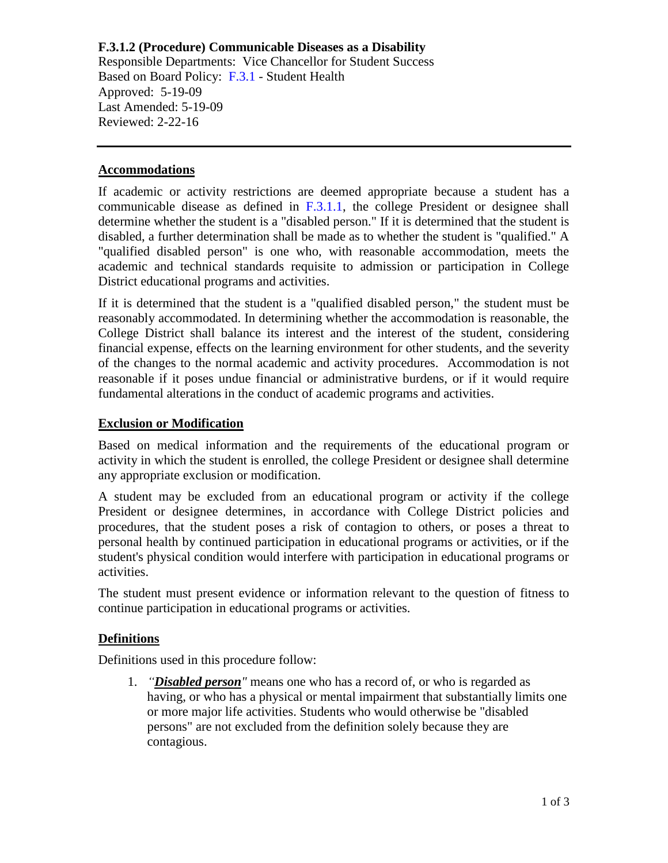# **F.3.1.2 (Procedure) Communicable Diseases as a Disability**

Responsible Departments: Vice Chancellor for Student Success Based on Board Policy: [F.3.1](https://www.alamo.edu/siteassets/district/about-us/leadership/board-of-trustees/policies-pdfs/section-f/f.3.1-policy.pdf) - Student Health Approved: 5-19-09 Last Amended: 5-19-09 Reviewed: 2-22-16

#### **Accommodations**

If academic or activity restrictions are deemed appropriate because a student has a communicable disease as defined in  $F<sub>1</sub>3.1.1$ , the college President or designee shall determine whether the student is a "disabled person." If it is determined that the student is disabled, a further determination shall be made as to whether the student is "qualified." A "qualified disabled person" is one who, with reasonable accommodation, meets the academic and technical standards requisite to admission or participation in College District educational programs and activities.

If it is determined that the student is a "qualified disabled person," the student must be reasonably accommodated. In determining whether the accommodation is reasonable, the College District shall balance its interest and the interest of the student, considering financial expense, effects on the learning environment for other students, and the severity of the changes to the normal academic and activity procedures. Accommodation is not reasonable if it poses undue financial or administrative burdens, or if it would require fundamental alterations in the conduct of academic programs and activities.

### **Exclusion or Modification**

Based on medical information and the requirements of the educational program or activity in which the student is enrolled, the college President or designee shall determine any appropriate exclusion or modification.

A student may be excluded from an educational program or activity if the college President or designee determines, in accordance with College District policies and procedures, that the student poses a risk of contagion to others, or poses a threat to personal health by continued participation in educational programs or activities, or if the student's physical condition would interfere with participation in educational programs or activities.

The student must present evidence or information relevant to the question of fitness to continue participation in educational programs or activities.

### **Definitions**

Definitions used in this procedure follow:

1. *"Disabled person"* means one who has a record of, or who is regarded as having, or who has a physical or mental impairment that substantially limits one or more major life activities. Students who would otherwise be "disabled persons" are not excluded from the definition solely because they are contagious.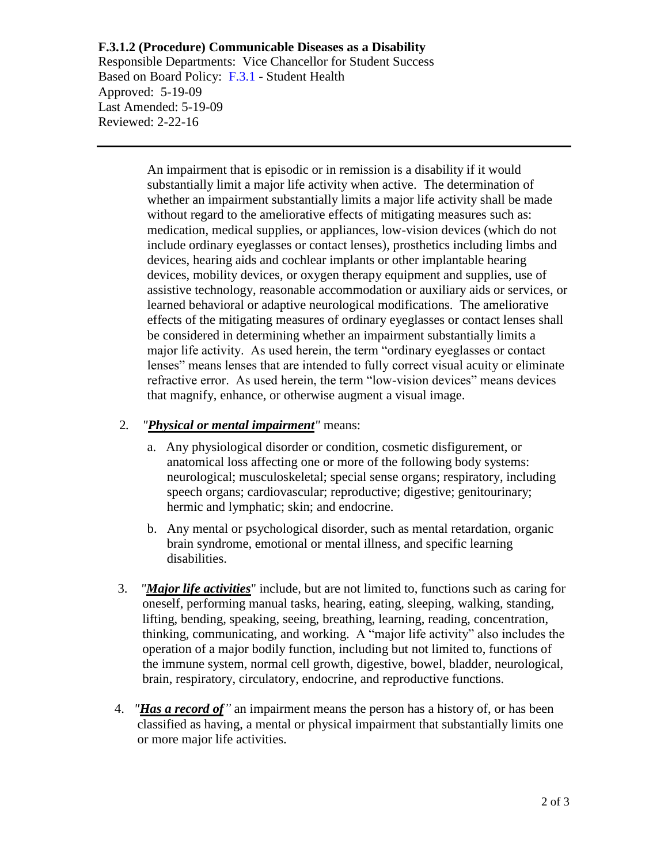# **F.3.1.2 (Procedure) Communicable Diseases as a Disability**

Responsible Departments: Vice Chancellor for Student Success Based on Board Policy: [F.3.1](https://www.alamo.edu/siteassets/district/about-us/leadership/board-of-trustees/policies-pdfs/section-f/f.3.1-policy.pdf) - Student Health Approved: 5-19-09 Last Amended: 5-19-09 Reviewed: 2-22-16

> An impairment that is episodic or in remission is a disability if it would substantially limit a major life activity when active. The determination of whether an impairment substantially limits a major life activity shall be made without regard to the ameliorative effects of mitigating measures such as: medication, medical supplies, or appliances, low-vision devices (which do not include ordinary eyeglasses or contact lenses), prosthetics including limbs and devices, hearing aids and cochlear implants or other implantable hearing devices, mobility devices, or oxygen therapy equipment and supplies, use of assistive technology, reasonable accommodation or auxiliary aids or services, or learned behavioral or adaptive neurological modifications. The ameliorative effects of the mitigating measures of ordinary eyeglasses or contact lenses shall be considered in determining whether an impairment substantially limits a major life activity. As used herein, the term "ordinary eyeglasses or contact lenses" means lenses that are intended to fully correct visual acuity or eliminate refractive error. As used herein, the term "low-vision devices" means devices that magnify, enhance, or otherwise augment a visual image.

## 2*. "Physical or mental impairment"* means:

- a. Any physiological disorder or condition, cosmetic disfigurement, or anatomical loss affecting one or more of the following body systems: neurological; musculoskeletal; special sense organs; respiratory, including speech organs; cardiovascular; reproductive; digestive; genitourinary; hermic and lymphatic; skin; and endocrine.
- b. Any mental or psychological disorder, such as mental retardation, organic brain syndrome, emotional or mental illness, and specific learning disabilities.
- 3. *"Major life activities*" include, but are not limited to, functions such as caring for oneself, performing manual tasks, hearing, eating, sleeping, walking, standing, lifting, bending, speaking, seeing, breathing, learning, reading, concentration, thinking, communicating, and working. A "major life activity" also includes the operation of a major bodily function, including but not limited to, functions of the immune system, normal cell growth, digestive, bowel, bladder, neurological, brain, respiratory, circulatory, endocrine, and reproductive functions.
- 4. *"Has a record of"* an impairment means the person has a history of, or has been classified as having, a mental or physical impairment that substantially limits one or more major life activities.